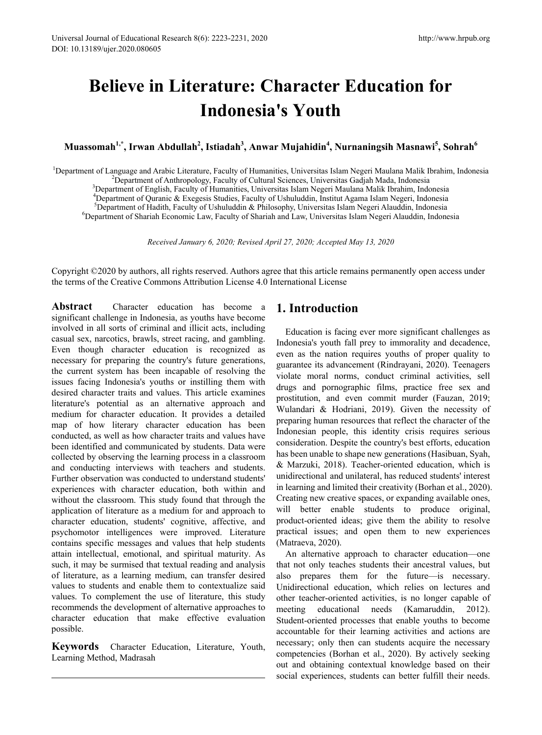# **Believe in Literature: Character Education for Indonesia's Youth**

 $\mathbf{M}$ uassomah $^{1,*}$ , Irwan Abdullah $^{2}$ , Istiadah $^{3}$ , Anwar Mujahidin $^{4}$ , Nurnaningsih Masnawi $^{5}$ , Sohrah $^{6}$ 

<sup>1</sup>Department of Language and Arabic Literature, Faculty of Humanities, Universitas Islam Negeri Maulana Malik Ibrahim, Indonesia<br><sup>2</sup>Department of Anthropology, Faculty of Cultural Sciences, Universitas Gadiah Mada, Indone Department of Anthropology, Faculty of Cultural Sciences, Universitas Gadjah Mada, Indonesia <sup>3</sup> <sup>3</sup>Department of English, Faculty of Humanities, Universitas Islam Negeri Maulana Malik Ibrahim, Indonesia<br><sup>4</sup>Department of Ouranic & Exeggsis Studies, Faculty of Usbuluddin, Institut Agama Islam Negeri, Indonesia <sup>4</sup>Department of Quranic & Exegesis Studies, Faculty of Ushuluddin, Institut Agama Islam Negeri, Indonesia <sup>5</sup>Department of Hadith, Faculty of Ushuluddin & Philosophy, Universitas Islam Negeri Alauddin, Indonesia Department of Shariah Economic Law, Faculty of Shariah and Law, Universitas Islam Negeri Alauddin, Indonesia

*Received January 6, 2020; Revised April 27, 2020; Accepted May 13, 2020*

Copyright ©2020 by authors, all rights reserved. Authors agree that this article remains permanently open access under the terms of the Creative Commons Attribution License 4.0 International License

**Abstract** Character education has become a significant challenge in Indonesia, as youths have become involved in all sorts of criminal and illicit acts, including casual sex, narcotics, brawls, street racing, and gambling. Even though character education is recognized as necessary for preparing the country's future generations, the current system has been incapable of resolving the issues facing Indonesia's youths or instilling them with desired character traits and values. This article examines literature's potential as an alternative approach and medium for character education. It provides a detailed map of how literary character education has been conducted, as well as how character traits and values have been identified and communicated by students. Data were collected by observing the learning process in a classroom and conducting interviews with teachers and students. Further observation was conducted to understand students' experiences with character education, both within and without the classroom. This study found that through the application of literature as a medium for and approach to character education, students' cognitive, affective, and psychomotor intelligences were improved. Literature contains specific messages and values that help students attain intellectual, emotional, and spiritual maturity. As such, it may be surmised that textual reading and analysis of literature, as a learning medium, can transfer desired values to students and enable them to contextualize said values. To complement the use of literature, this study recommends the development of alternative approaches to character education that make effective evaluation possible.

**Keywords** Character Education, Literature, Youth, Learning Method, Madrasah

## **1. Introduction**

Education is facing ever more significant challenges as Indonesia's youth fall prey to immorality and decadence, even as the nation requires youths of proper quality to guarantee its advancement (Rindrayani, 2020). Teenagers violate moral norms, conduct criminal activities, sell drugs and pornographic films, practice free sex and prostitution, and even commit murder (Fauzan, 2019; Wulandari & Hodriani, 2019). Given the necessity of preparing human resources that reflect the character of the Indonesian people, this identity crisis requires serious consideration. Despite the country's best efforts, education has been unable to shape new generations (Hasibuan, Syah, & Marzuki, 2018). Teacher-oriented education, which is unidirectional and unilateral, has reduced students' interest in learning and limited their creativity (Borhan et al., 2020). Creating new creative spaces, or expanding available ones, will better enable students to produce original, product-oriented ideas; give them the ability to resolve practical issues; and open them to new experiences (Matraeva, 2020).

An alternative approach to character education—one that not only teaches students their ancestral values, but also prepares them for the future—is necessary. Unidirectional education, which relies on lectures and other teacher-oriented activities, is no longer capable of meeting educational needs (Kamaruddin, 2012). Student-oriented processes that enable youths to become accountable for their learning activities and actions are necessary; only then can students acquire the necessary competencies (Borhan et al., 2020). By actively seeking out and obtaining contextual knowledge based on their social experiences, students can better fulfill their needs.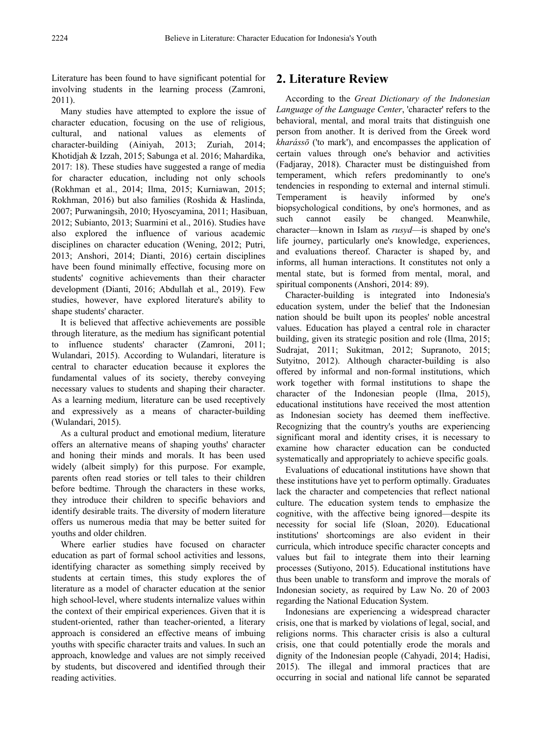Literature has been found to have significant potential for involving students in the learning process (Zamroni, 2011).

Many studies have attempted to explore the issue of character education, focusing on the use of religious, cultural, and national values as elements of character-building (Ainiyah, 2013; Zuriah, 2014; Khotidjah & Izzah, 2015; Sabunga et al. 2016; Mahardika, 2017: 18). These studies have suggested a range of media for character education, including not only schools (Rokhman et al., 2014; Ilma, 2015; Kurniawan, 2015; Rokhman, 2016) but also families (Roshida & Haslinda, 2007; Purwaningsih, 2010; Hyoscyamina, 2011; Hasibuan, 2012; Subianto, 2013; Suarmini et al., 2016). Studies have also explored the influence of various academic disciplines on character education (Wening, 2012; Putri, 2013; Anshori, 2014; Dianti, 2016) certain disciplines have been found minimally effective, focusing more on students' cognitive achievements than their character development (Dianti, 2016; Abdullah et al., 2019). Few studies, however, have explored literature's ability to shape students' character.

It is believed that affective achievements are possible through literature, as the medium has significant potential to influence students' character (Zamroni, 2011; Wulandari, 2015). According to Wulandari, literature is central to character education because it explores the fundamental values of its society, thereby conveying necessary values to students and shaping their character. As a learning medium, literature can be used receptively and expressively as a means of character-building (Wulandari, 2015).

As a cultural product and emotional medium, literature offers an alternative means of shaping youths' character and honing their minds and morals. It has been used widely (albeit simply) for this purpose. For example, parents often read stories or tell tales to their children before bedtime. Through the characters in these works, they introduce their children to specific behaviors and identify desirable traits. The diversity of modern literature offers us numerous media that may be better suited for youths and older children.

Where earlier studies have focused on character education as part of formal school activities and lessons, identifying character as something simply received by students at certain times, this study explores the of literature as a model of character education at the senior high school-level, where students internalize values within the context of their empirical experiences. Given that it is student-oriented, rather than teacher-oriented, a literary approach is considered an effective means of imbuing youths with specific character traits and values. In such an approach, knowledge and values are not simply received by students, but discovered and identified through their reading activities.

# **2. Literature Review**

According to the *Great Dictionary of the Indonesian Language of the Language Center*, 'character' refers to the behavioral, mental, and moral traits that distinguish one person from another. It is derived from the Greek word *kharássō* ('to mark'), and encompasses the application of certain values through one's behavior and activities (Fadjaray, 2018). Character must be distinguished from temperament, which refers predominantly to one's tendencies in responding to external and internal stimuli. Temperament is heavily informed by one's biopsychological conditions, by one's hormones, and as such cannot easily be changed. Meanwhile, character—known in Islam as *rusyd*—is shaped by one's life journey, particularly one's knowledge, experiences, and evaluations thereof. Character is shaped by, and informs, all human interactions. It constitutes not only a mental state, but is formed from mental, moral, and spiritual components (Anshori, 2014: 89).

Character-building is integrated into Indonesia's education system, under the belief that the Indonesian nation should be built upon its peoples' noble ancestral values. Education has played a central role in character building, given its strategic position and role (Ilma, 2015; Sudrajat, 2011; Sukitman, 2012; Supranoto, 2015; Sutyitno, 2012). Although character-building is also offered by informal and non-formal institutions, which work together with formal institutions to shape the character of the Indonesian people (Ilma, 2015), educational institutions have received the most attention as Indonesian society has deemed them ineffective. Recognizing that the country's youths are experiencing significant moral and identity crises, it is necessary to examine how character education can be conducted systematically and appropriately to achieve specific goals.

Evaluations of educational institutions have shown that these institutions have yet to perform optimally. Graduates lack the character and competencies that reflect national culture. The education system tends to emphasize the cognitive, with the affective being ignored—despite its necessity for social life (Sloan, 2020). Educational institutions' shortcomings are also evident in their curricula, which introduce specific character concepts and values but fail to integrate them into their learning processes (Sutiyono, 2015). Educational institutions have thus been unable to transform and improve the morals of Indonesian society, as required by Law No. 20 of 2003 regarding the National Education System.

Indonesians are experiencing a widespread character crisis, one that is marked by violations of legal, social, and religions norms. This character crisis is also a cultural crisis, one that could potentially erode the morals and dignity of the Indonesian people (Cahyadi, 2014; Hadisi, 2015). The illegal and immoral practices that are occurring in social and national life cannot be separated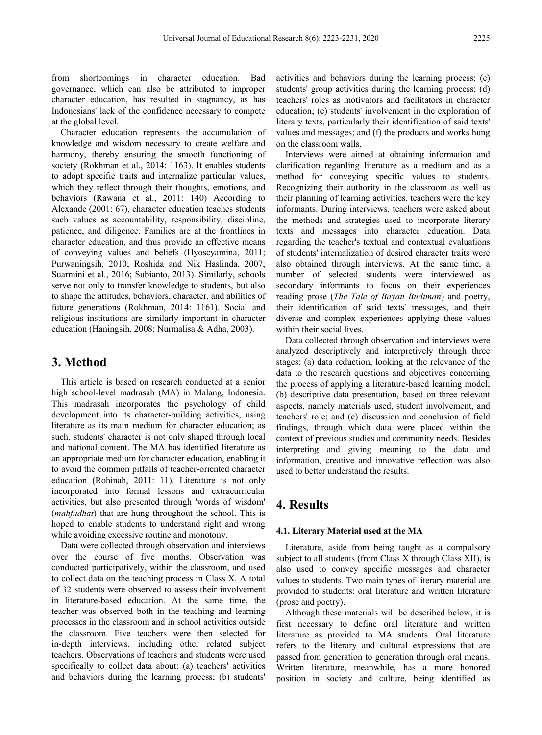from shortcomings in character education. Bad governance, which can also be attributed to improper character education, has resulted in stagnancy, as has Indonesians' lack of the confidence necessary to compete at the global level.

Character education represents the accumulation of knowledge and wisdom necessary to create welfare and harmony, thereby ensuring the smooth functioning of society (Rokhman et al., 2014: 1163). It enables students to adopt specific traits and internalize particular values, which they reflect through their thoughts, emotions, and behaviors (Rawana et al., 2011: 140) According to Alexande (2001: 67), character education teaches students such values as accountability, responsibility, discipline, patience, and diligence. Families are at the frontlines in character education, and thus provide an effective means of conveying values and beliefs (Hyoscyamina, 2011; Purwaningsih, 2010; Roshida and Nik Haslinda, 2007; Suarmini et al., 2016; Subianto, 2013). Similarly, schools serve not only to transfer knowledge to students, but also to shape the attitudes, behaviors, character, and abilities of future generations (Rokhman, 2014: 1161). Social and religious institutions are similarly important in character education (Haningsih, 2008; Nurmalisa & Adha, 2003).

## **3. Method**

This article is based on research conducted at a senior high school-level madrasah (MA) in Malang, Indonesia. This madrasah incorporates the psychology of child development into its character-building activities, using literature as its main medium for character education; as such, students' character is not only shaped through local and national content. The MA has identified literature as an appropriate medium for character education, enabling it to avoid the common pitfalls of teacher-oriented character education (Rohinah, 2011: 11). Literature is not only incorporated into formal lessons and extracurricular activities, but also presented through 'words of wisdom' (*mahfudhat*) that are hung throughout the school. This is hoped to enable students to understand right and wrong while avoiding excessive routine and monotony.

Data were collected through observation and interviews over the course of five months. Observation was conducted participatively, within the classroom, and used to collect data on the teaching process in Class X. A total of 32 students were observed to assess their involvement in literature-based education. At the same time, the teacher was observed both in the teaching and learning processes in the classroom and in school activities outside the classroom. Five teachers were then selected for in-depth interviews, including other related subject teachers. Observations of teachers and students were used specifically to collect data about: (a) teachers' activities and behaviors during the learning process; (b) students'

activities and behaviors during the learning process; (c) students' group activities during the learning process; (d) teachers' roles as motivators and facilitators in character education; (e) students' involvement in the exploration of literary texts, particularly their identification of said texts' values and messages; and (f) the products and works hung on the classroom walls.

Interviews were aimed at obtaining information and clarification regarding literature as a medium and as a method for conveying specific values to students. Recognizing their authority in the classroom as well as their planning of learning activities, teachers were the key informants. During interviews, teachers were asked about the methods and strategies used to incorporate literary texts and messages into character education. Data regarding the teacher's textual and contextual evaluations of students' internalization of desired character traits were also obtained through interviews. At the same time, a number of selected students were interviewed as secondary informants to focus on their experiences reading prose (*The Tale of Bayan Budiman*) and poetry, their identification of said texts' messages, and their diverse and complex experiences applying these values within their social lives.

Data collected through observation and interviews were analyzed descriptively and interpretively through three stages: (a) data reduction, looking at the relevance of the data to the research questions and objectives concerning the process of applying a literature-based learning model; (b) descriptive data presentation, based on three relevant aspects, namely materials used, student involvement, and teachers' role; and (c) discussion and conclusion of field findings, through which data were placed within the context of previous studies and community needs. Besides interpreting and giving meaning to the data and information, creative and innovative reflection was also used to better understand the results.

## **4. Results**

#### **4.1. Literary Material used at the MA**

Literature, aside from being taught as a compulsory subject to all students (from Class X through Class XII), is also used to convey specific messages and character values to students. Two main types of literary material are provided to students: oral literature and written literature (prose and poetry).

Although these materials will be described below, it is first necessary to define oral literature and written literature as provided to MA students. Oral literature refers to the literary and cultural expressions that are passed from generation to generation through oral means. Written literature, meanwhile, has a more honored position in society and culture, being identified as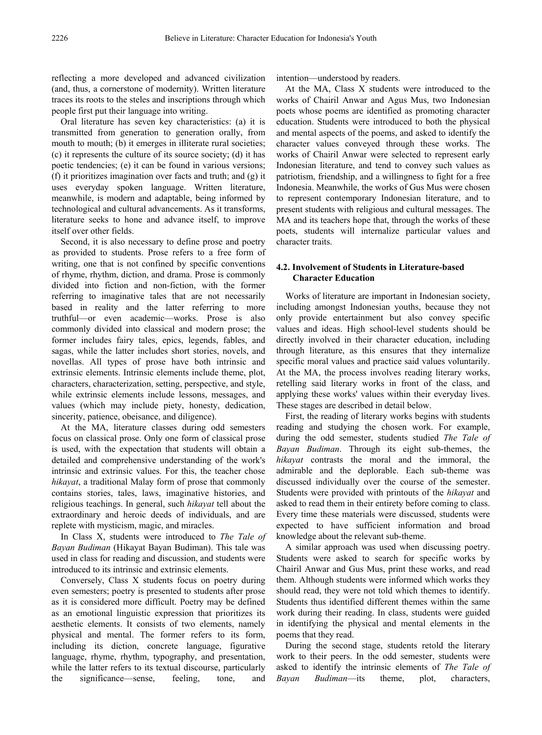reflecting a more developed and advanced civilization (and, thus, a cornerstone of modernity). Written literature traces its roots to the steles and inscriptions through which people first put their language into writing.

Oral literature has seven key characteristics: (a) it is transmitted from generation to generation orally, from mouth to mouth; (b) it emerges in illiterate rural societies; (c) it represents the culture of its source society; (d) it has poetic tendencies; (e) it can be found in various versions; (f) it prioritizes imagination over facts and truth; and (g) it uses everyday spoken language. Written literature, meanwhile, is modern and adaptable, being informed by technological and cultural advancements. As it transforms, literature seeks to hone and advance itself, to improve itself over other fields.

Second, it is also necessary to define prose and poetry as provided to students. Prose refers to a free form of writing, one that is not confined by specific conventions of rhyme, rhythm, diction, and drama. Prose is commonly divided into fiction and non-fiction, with the former referring to imaginative tales that are not necessarily based in reality and the latter referring to more truthful—or even academic—works. Prose is also commonly divided into classical and modern prose; the former includes fairy tales, epics, legends, fables, and sagas, while the latter includes short stories, novels, and novellas. All types of prose have both intrinsic and extrinsic elements. Intrinsic elements include theme, plot, characters, characterization, setting, perspective, and style, while extrinsic elements include lessons, messages, and values (which may include piety, honesty, dedication, sincerity, patience, obeisance, and diligence).

At the MA, literature classes during odd semesters focus on classical prose. Only one form of classical prose is used, with the expectation that students will obtain a detailed and comprehensive understanding of the work's intrinsic and extrinsic values. For this, the teacher chose *hikayat*, a traditional Malay form of prose that commonly contains stories, tales, laws, imaginative histories, and religious teachings. In general, such *hikayat* tell about the extraordinary and heroic deeds of individuals, and are replete with mysticism, magic, and miracles.

In Class X, students were introduced to *The Tale of Bayan Budiman* (Hikayat Bayan Budiman). This tale was used in class for reading and discussion, and students were introduced to its intrinsic and extrinsic elements.

Conversely, Class X students focus on poetry during even semesters; poetry is presented to students after prose as it is considered more difficult. Poetry may be defined as an emotional linguistic expression that prioritizes its aesthetic elements. It consists of two elements, namely physical and mental. The former refers to its form, including its diction, concrete language, figurative language, rhyme, rhythm, typography, and presentation, while the latter refers to its textual discourse, particularly the significance—sense, feeling, tone, and

intention—understood by readers.

At the MA, Class X students were introduced to the works of Chairil Anwar and Agus Mus, two Indonesian poets whose poems are identified as promoting character education. Students were introduced to both the physical and mental aspects of the poems, and asked to identify the character values conveyed through these works. The works of Chairil Anwar were selected to represent early Indonesian literature, and tend to convey such values as patriotism, friendship, and a willingness to fight for a free Indonesia. Meanwhile, the works of Gus Mus were chosen to represent contemporary Indonesian literature, and to present students with religious and cultural messages. The MA and its teachers hope that, through the works of these poets, students will internalize particular values and character traits.

#### **4.2. Involvement of Students in Literature-based Character Education**

Works of literature are important in Indonesian society, including amongst Indonesian youths, because they not only provide entertainment but also convey specific values and ideas. High school-level students should be directly involved in their character education, including through literature, as this ensures that they internalize specific moral values and practice said values voluntarily. At the MA, the process involves reading literary works, retelling said literary works in front of the class, and applying these works' values within their everyday lives. These stages are described in detail below.

First, the reading of literary works begins with students reading and studying the chosen work. For example, during the odd semester, students studied *The Tale of Bayan Budiman*. Through its eight sub-themes, the *hikayat* contrasts the moral and the immoral, the admirable and the deplorable. Each sub-theme was discussed individually over the course of the semester. Students were provided with printouts of the *hikayat* and asked to read them in their entirety before coming to class. Every time these materials were discussed, students were expected to have sufficient information and broad knowledge about the relevant sub-theme.

A similar approach was used when discussing poetry. Students were asked to search for specific works by Chairil Anwar and Gus Mus, print these works, and read them. Although students were informed which works they should read, they were not told which themes to identify. Students thus identified different themes within the same work during their reading. In class, students were guided in identifying the physical and mental elements in the poems that they read.

During the second stage, students retold the literary work to their peers. In the odd semester, students were asked to identify the intrinsic elements of *The Tale of Bayan Budiman*—its theme, plot, characters,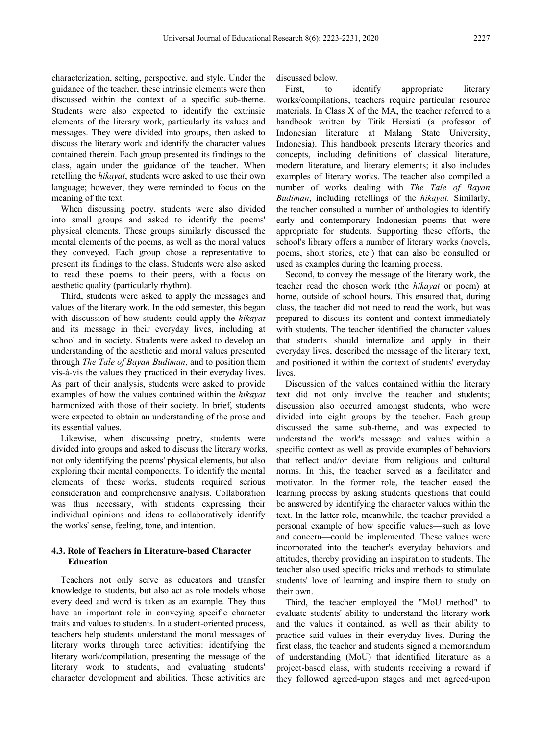characterization, setting, perspective, and style. Under the guidance of the teacher, these intrinsic elements were then discussed within the context of a specific sub-theme. Students were also expected to identify the extrinsic elements of the literary work, particularly its values and messages. They were divided into groups, then asked to discuss the literary work and identify the character values contained therein. Each group presented its findings to the class, again under the guidance of the teacher. When retelling the *hikayat*, students were asked to use their own language; however, they were reminded to focus on the meaning of the text.

When discussing poetry, students were also divided into small groups and asked to identify the poems' physical elements. These groups similarly discussed the mental elements of the poems, as well as the moral values they conveyed. Each group chose a representative to present its findings to the class. Students were also asked to read these poems to their peers, with a focus on aesthetic quality (particularly rhythm).

Third, students were asked to apply the messages and values of the literary work. In the odd semester, this began with discussion of how students could apply the *hikayat*  and its message in their everyday lives, including at school and in society. Students were asked to develop an understanding of the aesthetic and moral values presented through *The Tale of Bayan Budiman*, and to position them vis-à-vis the values they practiced in their everyday lives. As part of their analysis, students were asked to provide examples of how the values contained within the *hikayat* harmonized with those of their society. In brief, students were expected to obtain an understanding of the prose and its essential values.

Likewise, when discussing poetry, students were divided into groups and asked to discuss the literary works, not only identifying the poems' physical elements, but also exploring their mental components. To identify the mental elements of these works, students required serious consideration and comprehensive analysis. Collaboration was thus necessary, with students expressing their individual opinions and ideas to collaboratively identify the works' sense, feeling, tone, and intention.

#### **4.3. Role of Teachers in Literature-based Character Education**

Teachers not only serve as educators and transfer knowledge to students, but also act as role models whose every deed and word is taken as an example. They thus have an important role in conveying specific character traits and values to students. In a student-oriented process, teachers help students understand the moral messages of literary works through three activities: identifying the literary work/compilation, presenting the message of the literary work to students, and evaluating students' character development and abilities. These activities are

discussed below.

First, to identify appropriate literary works/compilations, teachers require particular resource materials. In Class X of the MA, the teacher referred to a handbook written by Titik Hersiati (a professor of Indonesian literature at Malang State University, Indonesia). This handbook presents literary theories and concepts, including definitions of classical literature, modern literature, and literary elements; it also includes examples of literary works. The teacher also compiled a number of works dealing with *The Tale of Bayan Budiman*, including retellings of the *hikayat.* Similarly, the teacher consulted a number of anthologies to identify early and contemporary Indonesian poems that were appropriate for students. Supporting these efforts, the school's library offers a number of literary works (novels, poems, short stories, etc.) that can also be consulted or used as examples during the learning process.

Second, to convey the message of the literary work, the teacher read the chosen work (the *hikayat* or poem) at home, outside of school hours. This ensured that, during class, the teacher did not need to read the work, but was prepared to discuss its content and context immediately with students. The teacher identified the character values that students should internalize and apply in their everyday lives, described the message of the literary text, and positioned it within the context of students' everyday lives.

Discussion of the values contained within the literary text did not only involve the teacher and students; discussion also occurred amongst students, who were divided into eight groups by the teacher. Each group discussed the same sub-theme, and was expected to understand the work's message and values within a specific context as well as provide examples of behaviors that reflect and/or deviate from religious and cultural norms. In this, the teacher served as a facilitator and motivator. In the former role, the teacher eased the learning process by asking students questions that could be answered by identifying the character values within the text. In the latter role, meanwhile, the teacher provided a personal example of how specific values—such as love and concern—could be implemented. These values were incorporated into the teacher's everyday behaviors and attitudes, thereby providing an inspiration to students. The teacher also used specific tricks and methods to stimulate students' love of learning and inspire them to study on their own.

Third, the teacher employed the "MoU method" to evaluate students' ability to understand the literary work and the values it contained, as well as their ability to practice said values in their everyday lives. During the first class, the teacher and students signed a memorandum of understanding (MoU) that identified literature as a project-based class, with students receiving a reward if they followed agreed-upon stages and met agreed-upon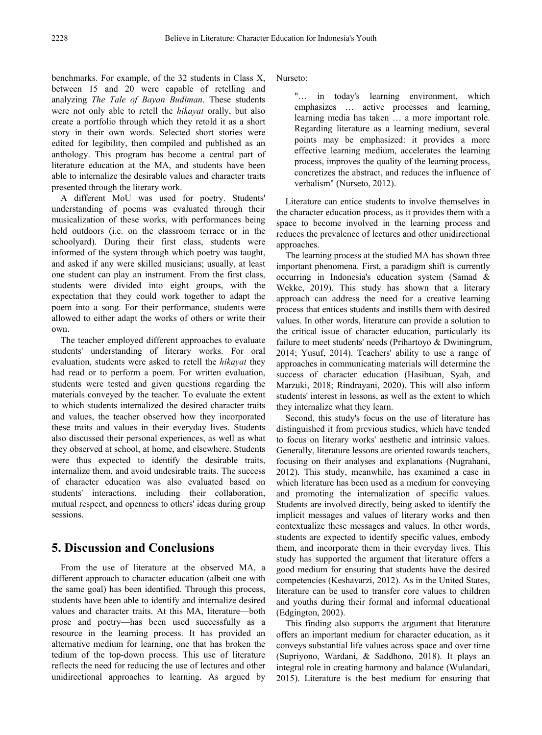benchmarks. For example, of the 32 students in Class X, between 15 and 20 were capable of retelling and analyzing *The Tale of Bayan Budiman*. These students were not only able to retell the *hikayat* orally, but also create a portfolio through which they retold it as a short story in their own words. Selected short stories were edited for legibility, then compiled and published as an anthology. This program has become a central part of literature education at the MA, and students have been able to internalize the desirable values and character traits presented through the literary work.

A different MoU was used for poetry. Students' understanding of poems was evaluated through their musicalization of these works, with performances being held outdoors (i.e. on the classroom terrace or in the schoolyard). During their first class, students were informed of the system through which poetry was taught, and asked if any were skilled musicians; usually, at least one student can play an instrument. From the first class, students were divided into eight groups, with the expectation that they could work together to adapt the poem into a song. For their performance, students were allowed to either adapt the works of others or write their own.

The teacher employed different approaches to evaluate students' understanding of literary works. For oral evaluation, students were asked to retell the *hikayat* they had read or to perform a poem. For written evaluation, students were tested and given questions regarding the materials conveyed by the teacher. To evaluate the extent to which students internalized the desired character traits and values, the teacher observed how they incorporated these traits and values in their everyday lives. Students also discussed their personal experiences, as well as what they observed at school, at home, and elsewhere. Students were thus expected to identify the desirable traits, internalize them, and avoid undesirable traits. The success of character education was also evaluated based on students' interactions, including their collaboration, mutual respect, and openness to others' ideas during group sessions.

## **5. Discussion and Conclusions**

From the use of literature at the observed MA, a different approach to character education (albeit one with the same goal) has been identified. Through this process, students have been able to identify and internalize desired values and character traits. At this MA, literature—both prose and poetry—has been used successfully as a resource in the learning process. It has provided an alternative medium for learning, one that has broken the tedium of the top-down process. This use of literature reflects the need for reducing the use of lectures and other unidirectional approaches to learning. As argued by

Nurseto:

"… in today's learning environment, which emphasizes … active processes and learning, learning media has taken … a more important role. Regarding literature as a learning medium, several points may be emphasized: it provides a more effective learning medium, accelerates the learning process, improves the quality of the learning process, concretizes the abstract, and reduces the influence of verbalism" (Nurseto, 2012).

Literature can entice students to involve themselves in the character education process, as it provides them with a space to become involved in the learning process and reduces the prevalence of lectures and other unidirectional approaches.

The learning process at the studied MA has shown three important phenomena. First, a paradigm shift is currently occurring in Indonesia's education system (Samad & Wekke, 2019). This study has shown that a literary approach can address the need for a creative learning process that entices students and instills them with desired values. In other words, literature can provide a solution to the critical issue of character education, particularly its failure to meet students' needs (Prihartoyo & Dwiningrum, 2014; Yusuf, 2014). Teachers' ability to use a range of approaches in communicating materials will determine the success of character education (Hasibuan, Syah, and Marzuki, 2018; Rindrayani, 2020). This will also inform students' interest in lessons, as well as the extent to which they internalize what they learn.

Second, this study's focus on the use of literature has distinguished it from previous studies, which have tended to focus on literary works' aesthetic and intrinsic values. Generally, literature lessons are oriented towards teachers, focusing on their analyses and explanations (Nugrahani, 2012). This study, meanwhile, has examined a case in which literature has been used as a medium for conveying and promoting the internalization of specific values. Students are involved directly, being asked to identify the implicit messages and values of literary works and then contextualize these messages and values. In other words, students are expected to identify specific values, embody them, and incorporate them in their everyday lives. This study has supported the argument that literature offers a good medium for ensuring that students have the desired competencies (Keshavarzi, 2012). As in the United States, literature can be used to transfer core values to children and youths during their formal and informal educational (Edgington, 2002).

This finding also supports the argument that literature offers an important medium for character education, as it conveys substantial life values across space and over time (Supriyono, Wardani, & Saddhono, 2018). It plays an integral role in creating harmony and balance (Wulandari, 2015). Literature is the best medium for ensuring that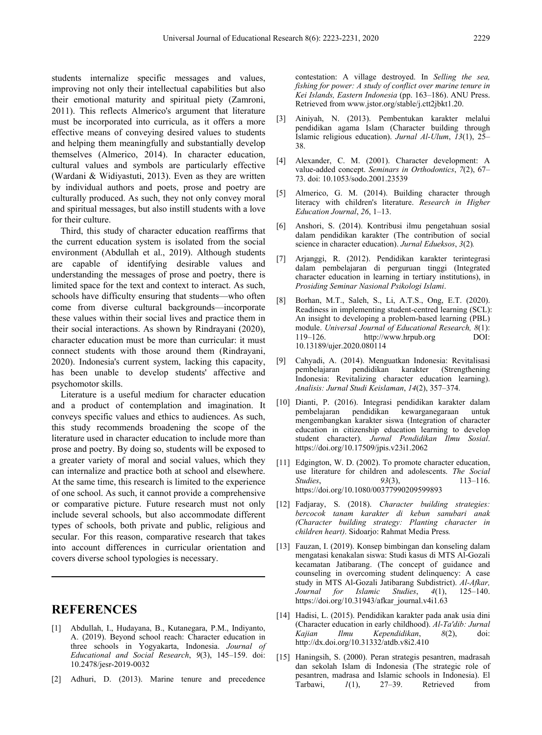students internalize specific messages and values, improving not only their intellectual capabilities but also their emotional maturity and spiritual piety (Zamroni, 2011). This reflects Almerico's argument that literature must be incorporated into curricula, as it offers a more effective means of conveying desired values to students and helping them meaningfully and substantially develop themselves (Almerico, 2014). In character education, cultural values and symbols are particularly effective (Wardani & Widiyastuti, 2013). Even as they are written by individual authors and poets, prose and poetry are culturally produced. As such, they not only convey moral and spiritual messages, but also instill students with a love for their culture.

Third, this study of character education reaffirms that the current education system is isolated from the social environment (Abdullah et al., 2019). Although students are capable of identifying desirable values and understanding the messages of prose and poetry, there is limited space for the text and context to interact. As such, schools have difficulty ensuring that students—who often come from diverse cultural backgrounds—incorporate these values within their social lives and practice them in their social interactions. As shown by Rindrayani (2020), character education must be more than curricular: it must connect students with those around them (Rindrayani, 2020). Indonesia's current system, lacking this capacity, has been unable to develop students' affective and psychomotor skills.

Literature is a useful medium for character education and a product of contemplation and imagination. It conveys specific values and ethics to audiences. As such, this study recommends broadening the scope of the literature used in character education to include more than prose and poetry. By doing so, students will be exposed to a greater variety of moral and social values, which they can internalize and practice both at school and elsewhere. At the same time, this research is limited to the experience of one school. As such, it cannot provide a comprehensive or comparative picture. Future research must not only include several schools, but also accommodate different types of schools, both private and public, religious and secular. For this reason, comparative research that takes into account differences in curricular orientation and covers diverse school typologies is necessary.

### **REFERENCES**

- [1] Abdullah, I., Hudayana, B., Kutanegara, P.M., Indiyanto, A. (2019). Beyond school reach: Character education in three schools in Yogyakarta, Indonesia. *Journal of Educational and Social Research*, *9*(3), 145–159. doi: 10.2478/jesr-2019-0032
- [2] Adhuri, D. (2013). Marine tenure and precedence

contestation: A village destroyed. In *Selling the sea, fishing for power: A study of conflict over marine tenure in Kei Islands, Eastern Indonesia* (pp. 163–186). ANU Press. Retrieved from www.jstor.org/stable/j.ctt2jbkt1.20.

- [3] Ainiyah, N. (2013). Pembentukan karakter melalui pendidikan agama Islam (Character building through Islamic religious education). *Jurnal Al-Ulum*, *13*(1), 25– 38.
- [4] Alexander, C. M. (2001). Character development: A value-added concept. *Seminars in Orthodontics*, *7*(2), 67– 73. doi: 10.1053/sodo.2001.23539
- [5] Almerico, G. M. (2014). Building character through literacy with children's literature. *Research in Higher Education Journal*, *26*, 1–13.
- [6] Anshori, S. (2014). Kontribusi ilmu pengetahuan sosial dalam pendidikan karakter (The contribution of social science in character education). *Jurnal Edueksos*, *3*(2)*.*
- [7] Arjanggi, R. (2012). Pendidikan karakter terintegrasi dalam pembelajaran di perguruan tinggi (Integrated character education in learning in tertiary institutions), in *Prosiding Seminar Nasional Psikologi Islami*.
- [8] Borhan, M.T., Saleh, S., Li, A.T.S., Ong, E.T. (2020). Readiness in implementing student-centred learning (SCL): An insight to developing a problem-based learning (PBL) module. *Universal Journal of Educational Research, 8*(1): 119–126. http://www.hrpub.org DOI: 10.13189/ujer.2020.080114
- [9] Cahyadi, A. (2014). Menguatkan Indonesia: Revitalisasi pembelajaran pendidikan karakter (Strengthening Indonesia: Revitalizing character education learning). *Analisis: Jurnal Studi Keislaman*, *14*(2), 357–374.
- [10] Dianti, P. (2016). Integrasi pendidikan karakter dalam pembelajaran pendidikan kewarganegaraan untuk mengembangkan karakter siswa (Integration of character education in citizenship education learning to develop student character). *Jurnal Pendidikan Ilmu Sosial*. https://doi.org/10.17509/jpis.v23i1.2062
- [11] Edgington, W. D. (2002). To promote character education, use literature for children and adolescents. *The Social Studies*, *93*(3), 113–116. https://doi.org/10.1080/00377990209599893
- [12] Fadjaray, S. (2018). *Character building strategies: bercocok tanam karakter di kebun sanubari anak (Character building strategy: Planting character in children heart)*. Sidoarjo: Rahmat Media Press*.*
- [13] Fauzan, I. (2019). Konsep bimbingan dan konseling dalam mengatasi kenakalan siswa: Studi kasus di MTS Al-Gozali kecamatan Jatibarang. (The concept of guidance and counseling in overcoming student delinquency: A case study in MTS Al-Gozali Jatibarang Subdistrict). *Al-Afkar, Journal for Islamic Studies*, *4*(1), 125–140. https://doi.org/10.31943/afkar\_journal.v4i1.63
- [14] Hadisi, L. (2015). Pendidikan karakter pada anak usia dini (Character education in early childhood). *Al-Ta'dib: Jurnal Kajian Ilmu Kependidikan*, *8*(2), doi: http://dx.doi.org/10.31332/atdb.v8i2.410
- [15] Haningsih, S. (2000). Peran strategis pesantren, madrasah dan sekolah Islam di Indonesia (The strategic role of pesantren, madrasa and Islamic schools in Indonesia). El Tarbawi, *1*(1), 27–39. Retrieved from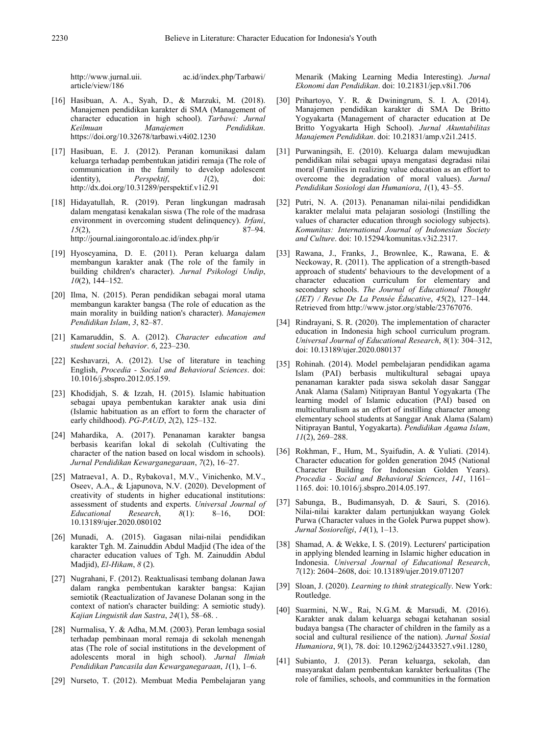article/view/186

http://www.jurnal.uii. ac.id/index.php/Tarbawi/

- [16] Hasibuan, A. A., Syah, D., & Marzuki, M. (2018). Manajemen pendidikan karakter di SMA (Management of character education in high school). *Tarbawi: Jurnal Manajemen* https://doi.org/10.32678/tarbawi.v4i02.1230
- [17] Hasibuan, E. J. (2012). Peranan komunikasi dalam keluarga terhadap pembentukan jatidiri remaja (The role of communication in the family to develop adolescent identity). *Perspektif*,  $1(2)$ , doi:  $Perspektif,$ http://dx.doi.org/10.31289/perspektif.v1i2.91
- [18] Hidayatullah, R. (2019). Peran lingkungan madrasah dalam mengatasi kenakalan siswa (The role of the madrasa environment in overcoming student delinquency). *Irfani*,  $15(2)$ , 87–94. *15*(2), 87–94. http://journal.iaingorontalo.ac.id/index.php/ir
- [19] Hyoscyamina, D. E. (2011). Peran keluarga dalam membangun karakter anak (The role of the family in building children's character). *Jurnal Psikologi Undip*, *10*(2), 144–152.
- [20] Ilma, N. (2015). Peran pendidikan sebagai moral utama membangun karakter bangsa (The role of education as the main morality in building nation's character). *Manajemen Pendidikan Islam*, *3*, 82–87.
- [21] Kamaruddin, S. A. (2012). *Character education and student social behavior*. *6*, 223–230.
- [22] Keshavarzi, A. (2012). Use of literature in teaching English, *Procedia - Social and Behavioral Sciences*. doi: 10.1016/j.sbspro.2012.05.159.
- [23] Khodidjah, S. & Izzah, H. (2015). Islamic habituation sebagai upaya pembentukan karakter anak usia dini (Islamic habituation as an effort to form the character of early childhood). *PG-PAUD*, *2*(2), 125–132.
- [24] Mahardika, A. (2017). Penanaman karakter bangsa berbasis kearifan lokal di sekolah (Cultivating the character of the nation based on local wisdom in schools). *Jurnal Pendidikan Kewarganegaraan*, *7*(2), 16–27.
- [25] Matraeva1, A. D., Rybakova1, M.V., Vinichenko, M.V., Oseev, A.A., & Ljapunova, N.V. (2020). Development of creativity of students in higher educational institutions: assessment of students and experts. *Universal Journal of Educational Research*, *8*(1): 8–16, DOI: 10.13189/ujer.2020.080102
- [26] Munadi, A. (2015). Gagasan nilai-nilai pendidikan karakter Tgh. M. Zainuddin Abdul Madjid (The idea of the character education values of Tgh. M. Zainuddin Abdul Madjid), *El-Hikam*, *8* (2).
- [27] Nugrahani, F. (2012). Reaktualisasi tembang dolanan Jawa dalam rangka pembentukan karakter bangsa: Kajian semiotik (Reactualization of Javanese Dolanan song in the context of nation's character building: A semiotic study). *Kajian Linguistik dan Sastra*, *24*(1), 58–68. .
- [28] Nurmalisa, Y. & Adha, M.M. (2003). Peran lembaga sosial terhadap pembinaan moral remaja di sekolah menengah atas (The role of social institutions in the development of adolescents moral in high school). *Jurnal Ilmiah Pendidikan Pancasila dan Kewarganegaraan*, *1*(1), 1–6.
- [29] Nurseto, T. (2012). Membuat Media Pembelajaran yang

Menarik (Making Learning Media Interesting). *Jurnal Ekonomi dan Pendidikan*. doi: 10.21831/jep.v8i1.706

- [30] Prihartoyo, Y. R. & Dwiningrum, S. I. A. (2014). Manajemen pendidikan karakter di SMA De Britto Yogyakarta (Management of character education at De Britto Yogyakarta High School). *Jurnal Akuntabilitas Manajemen Pendidikan*. doi: 10.21831/amp.v2i1.2415.
- [31] Purwaningsih, E. (2010). Keluarga dalam mewujudkan pendidikan nilai sebagai upaya mengatasi degradasi nilai moral (Families in realizing value education as an effort to overcome the degradation of moral values). *Jurnal Pendidikan Sosiologi dan Humaniora*, *1*(1), 43–55.
- [32] Putri, N. A. (2013). Penanaman nilai-nilai pendididkan karakter melalui mata pelajaran sosiologi (Instilling the values of character education through sociology subjects). *Komunitas: International Journal of Indonesian Society and Culture*. doi: 10.15294/komunitas.v3i2.2317.
- [33] Rawana, J., Franks, J., Brownlee, K., Rawana, E. & Neckoway, R. (2011). The application of a strength-based approach of students' behaviours to the development of a character education curriculum for elementary and secondary schools. *The Journal of Educational Thought (JET) / Revue De La Pensée Éducative*, *45*(2), 127–144. Retrieved from http://www.jstor.org/stable/23767076.
- [34] Rindrayani, S. R. (2020). The implementation of character education in Indonesia high school curriculum program. *Universal Journal of Educational Research*, *8*(1): 304–312, doi: 10.13189/ujer.2020.080137
- [35] Rohinah. (2014). Model pembelajaran pendidikan agama Islam (PAI) berbasis multikultural sebagai upaya penanaman karakter pada siswa sekolah dasar Sanggar Anak Alama (Salam) Nitiprayan Bantul Yogyakarta (The learning model of Islamic education (PAI) based on multiculturalism as an effort of instilling character among elementary school students at Sanggar Anak Alama (Salam) Nitiprayan Bantul, Yogyakarta). *Pendidikan Agama Islam*, *11*(2), 269–288.
- [36] Rokhman, F., Hum, M., Syaifudin, A. & Yuliati. (2014). Character education for golden generation 2045 (National Character Building for Indonesian Golden Years). *Procedia - Social and Behavioral Sciences*, *141*, 1161– 1165. doi: 10.1016/j.sbspro.2014.05.197.
- [37] Sabunga, B., Budimansyah, D. & Sauri, S. (2016). Nilai-nilai karakter dalam pertunjukkan wayang Golek Purwa (Character values in the Golek Purwa puppet show). *Jurnal Sosioreligi*, *14*(1), 1–13.
- [38] Shamad, A. & Wekke, I. S. (2019). Lecturers' participation in applying blended learning in Islamic higher education in Indonesia. *Universal Journal of Educational Research*, *7*(12): 2604–2608, doi: 10.13189/ujer.2019.071207
- [39] Sloan, J. (2020). *Learning to think strategically*. New York: Routledge.
- [40] Suarmini, N.W., Rai, N.G.M. & Marsudi, M. (2016). Karakter anak dalam keluarga sebagai ketahanan sosial budaya bangsa (The character of children in the family as a social and cultural resilience of the nation). *Jurnal Sosial Humaniora*, *9*(1), 78. doi: 10.12962/j24433527.v9i1.1280.
- [41] Subianto, J. (2013). Peran keluarga, sekolah, dan masyarakat dalam pembentukan karakter berkualitas (The role of families, schools, and communities in the formation